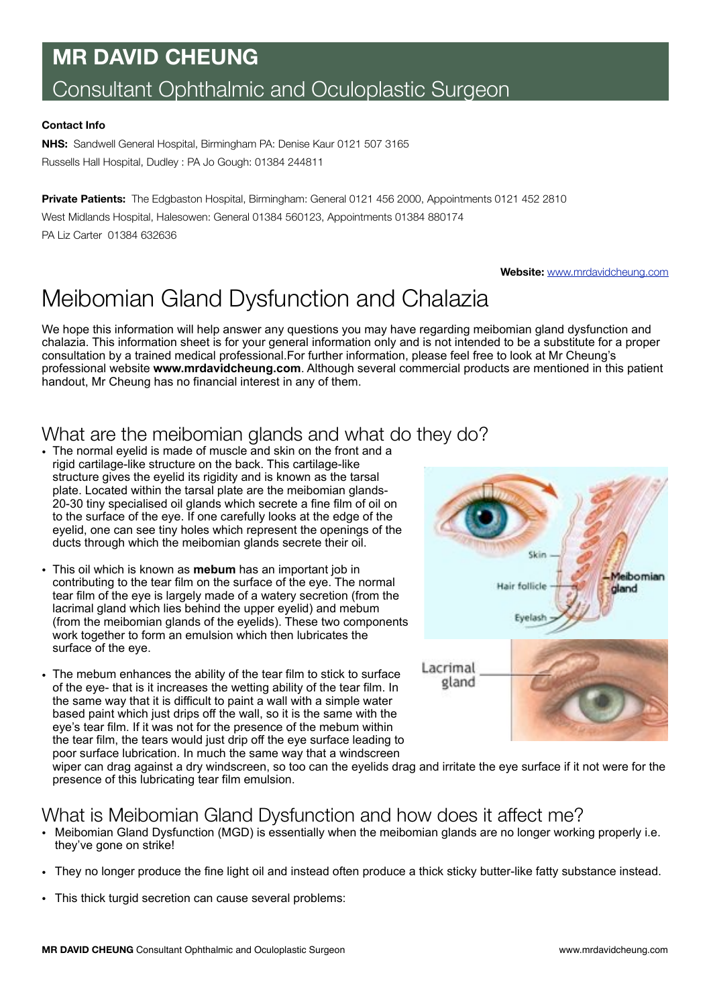# **MR DAVID CHEUNG** Consultant Ophthalmic and Oculoplastic Surgeon

#### **Contact Info**

**NHS:** Sandwell General Hospital, Birmingham PA: Denise Kaur 0121 507 3165 Russells Hall Hospital, Dudley : PA Jo Gough: 01384 244811

**Private Patients:** The Edgbaston Hospital, Birmingham: General 0121 456 2000, Appointments 0121 452 2810 West Midlands Hospital, Halesowen: General 01384 560123, Appointments 01384 880174 PA Liz Carter 01384 632636

**Website:** [www.mrdavidcheung.com](http://www.mrdavidcheung.com)

# Meibomian Gland Dysfunction and Chalazia

We hope this information will help answer any questions you may have regarding meibomian gland dysfunction and chalazia. This information sheet is for your general information only and is not intended to be a substitute for a proper consultation by a trained medical professional.For further information, please feel free to look at Mr Cheung's professional website **www.mrdavidcheung.com**. Although several commercial products are mentioned in this patient handout, Mr Cheung has no financial interest in any of them.

### What are the meibomian glands and what do they do?

- The normal eyelid is made of muscle and skin on the front and a rigid cartilage-like structure on the back. This cartilage-like structure gives the eyelid its rigidity and is known as the tarsal plate. Located within the tarsal plate are the meibomian glands-20-30 tiny specialised oil glands which secrete a fine film of oil on to the surface of the eye. If one carefully looks at the edge of the eyelid, one can see tiny holes which represent the openings of the ducts through which the meibomian glands secrete their oil.
- This oil which is known as **mebum** has an important job in contributing to the tear film on the surface of the eye. The normal tear film of the eye is largely made of a watery secretion (from the lacrimal gland which lies behind the upper eyelid) and mebum (from the meibomian glands of the eyelids). These two components work together to form an emulsion which then lubricates the surface of the eye.
- The mebum enhances the ability of the tear film to stick to surface of the eye- that is it increases the wetting ability of the tear film. In the same way that it is difficult to paint a wall with a simple water based paint which just drips off the wall, so it is the same with the eye's tear film. If it was not for the presence of the mebum within the tear film, the tears would just drip off the eye surface leading to poor surface lubrication. In much the same way that a windscreen



wiper can drag against a dry windscreen, so too can the eyelids drag and irritate the eye surface if it not were for the presence of this lubricating tear film emulsion.

#### What is Meibomian Gland Dysfunction and how does it affect me?

- Meibomian Gland Dysfunction (MGD) is essentially when the meibomian glands are no longer working properly i.e. they've gone on strike!
- They no longer produce the fine light oil and instead often produce a thick sticky butter-like fatty substance instead.
- This thick turgid secretion can cause several problems: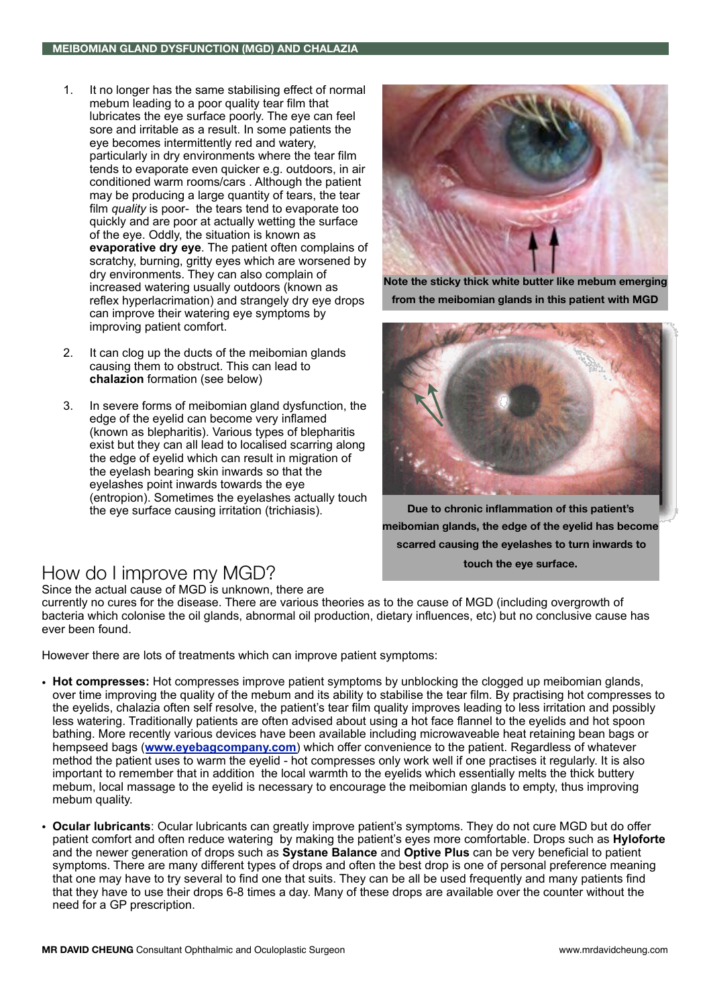- 1. It no longer has the same stabilising effect of normal mebum leading to a poor quality tear film that lubricates the eye surface poorly. The eye can feel sore and irritable as a result. In some patients the eye becomes intermittently red and watery, particularly in dry environments where the tear film tends to evaporate even quicker e.g. outdoors, in air conditioned warm rooms/cars . Although the patient may be producing a large quantity of tears, the tear film *quality* is poor- the tears tend to evaporate too quickly and are poor at actually wetting the surface of the eye. Oddly, the situation is known as **evaporative dry eye**. The patient often complains of scratchy, burning, gritty eyes which are worsened by dry environments. They can also complain of increased watering usually outdoors (known as reflex hyperlacrimation) and strangely dry eye drops can improve their watering eye symptoms by improving patient comfort.
- 2. It can clog up the ducts of the meibomian glands causing them to obstruct. This can lead to **chalazion** formation (see below)
- 3. In severe forms of meibomian gland dysfunction, the edge of the eyelid can become very inflamed (known as blepharitis). Various types of blepharitis exist but they can all lead to localised scarring along the edge of eyelid which can result in migration of the eyelash bearing skin inwards so that the eyelashes point inwards towards the eye (entropion). Sometimes the eyelashes actually touch the eye surface causing irritation (trichiasis).



**Note the sticky thick white butter like mebum emerging from the meibomian glands in this patient with MGD**



**Due to chronic inflammation of this patient's meibomian glands, the edge of the eyelid has become scarred causing the eyelashes to turn inwards to touch the eye surface.** 

## How do I improve my MGD?

Since the actual cause of MGD is unknown, there are

currently no cures for the disease. There are various theories as to the cause of MGD (including overgrowth of bacteria which colonise the oil glands, abnormal oil production, dietary influences, etc) but no conclusive cause has ever been found.

However there are lots of treatments which can improve patient symptoms:

- **Hot compresses:** Hot compresses improve patient symptoms by unblocking the clogged up meibomian glands, over time improving the quality of the mebum and its ability to stabilise the tear film. By practising hot compresses to the eyelids, chalazia often self resolve, the patient's tear film quality improves leading to less irritation and possibly less watering. Traditionally patients are often advised about using a hot face flannel to the eyelids and hot spoon bathing. More recently various devices have been available including microwaveable heat retaining bean bags or hempseed bags (**[www.eyebagcompany.com](http://www.eyebagcompany.com)**) which offer convenience to the patient. Regardless of whatever method the patient uses to warm the eyelid - hot compresses only work well if one practises it regularly. It is also important to remember that in addition the local warmth to the eyelids which essentially melts the thick buttery mebum, local massage to the eyelid is necessary to encourage the meibomian glands to empty, thus improving mebum quality.
- **Ocular lubricants**: Ocular lubricants can greatly improve patient's symptoms. They do not cure MGD but do offer patient comfort and often reduce watering by making the patient's eyes more comfortable. Drops such as **Hyloforte** and the newer generation of drops such as **Systane Balance** and **Optive Plus** can be very beneficial to patient symptoms. There are many different types of drops and often the best drop is one of personal preference meaning that one may have to try several to find one that suits. They can be all be used frequently and many patients find that they have to use their drops 6-8 times a day. Many of these drops are available over the counter without the need for a GP prescription.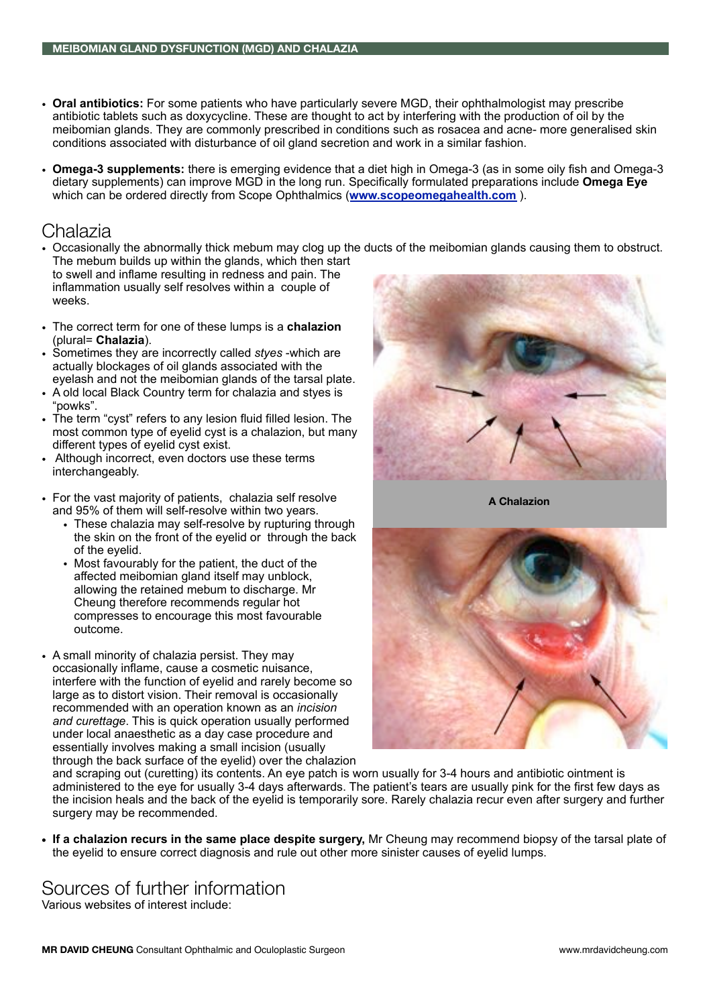- **Oral antibiotics:** For some patients who have particularly severe MGD, their ophthalmologist may prescribe antibiotic tablets such as doxycycline. These are thought to act by interfering with the production of oil by the meibomian glands. They are commonly prescribed in conditions such as rosacea and acne- more generalised skin conditions associated with disturbance of oil gland secretion and work in a similar fashion.
- **Omega-3 supplements:** there is emerging evidence that a diet high in Omega-3 (as in some oily fish and Omega-3 dietary supplements) can improve MGD in the long run. Specifically formulated preparations include **Omega Eye** which can be ordered directly from Scope Ophthalmics (**[www.scopeomegahealth.com](http://www.scopeomegahealth.com)** ).

#### Chalazia

- Occasionally the abnormally thick mebum may clog up the ducts of the meibomian glands causing them to obstruct. The mebum builds up within the glands, which then start
- to swell and inflame resulting in redness and pain. The inflammation usually self resolves within a couple of weeks.
- The correct term for one of these lumps is a **chalazion** (plural= **Chalazia**).
- Sometimes they are incorrectly called *styes* -which are actually blockages of oil glands associated with the eyelash and not the meibomian glands of the tarsal plate.
- A old local Black Country term for chalazia and styes is "powks".
- The term "cyst" refers to any lesion fluid filled lesion. The most common type of eyelid cyst is a chalazion, but many different types of eyelid cyst exist.
- Although incorrect, even doctors use these terms interchangeably.
- For the vast majority of patients, chalazia self resolve and 95% of them will self-resolve within two years.
	- These chalazia may self-resolve by rupturing through the skin on the front of the eyelid or through the back of the eyelid.
	- Most favourably for the patient, the duct of the affected meibomian gland itself may unblock, allowing the retained mebum to discharge. Mr Cheung therefore recommends regular hot compresses to encourage this most favourable outcome.
- A small minority of chalazia persist. They may occasionally inflame, cause a cosmetic nuisance, interfere with the function of eyelid and rarely become so large as to distort vision. Their removal is occasionally recommended with an operation known as an *incision and curettage*. This is quick operation usually performed under local anaesthetic as a day case procedure and essentially involves making a small incision (usually through the back surface of the eyelid) over the chalazion



**A Chalazion**



and scraping out (curetting) its contents. An eye patch is worn usually for 3-4 hours and antibiotic ointment is administered to the eye for usually 3-4 days afterwards. The patient's tears are usually pink for the first few days as the incision heals and the back of the eyelid is temporarily sore. Rarely chalazia recur even after surgery and further surgery may be recommended.

**• If a chalazion recurs in the same place despite surgery,** Mr Cheung may recommend biopsy of the tarsal plate of the eyelid to ensure correct diagnosis and rule out other more sinister causes of eyelid lumps.

# Sources of further information

Various websites of interest include: